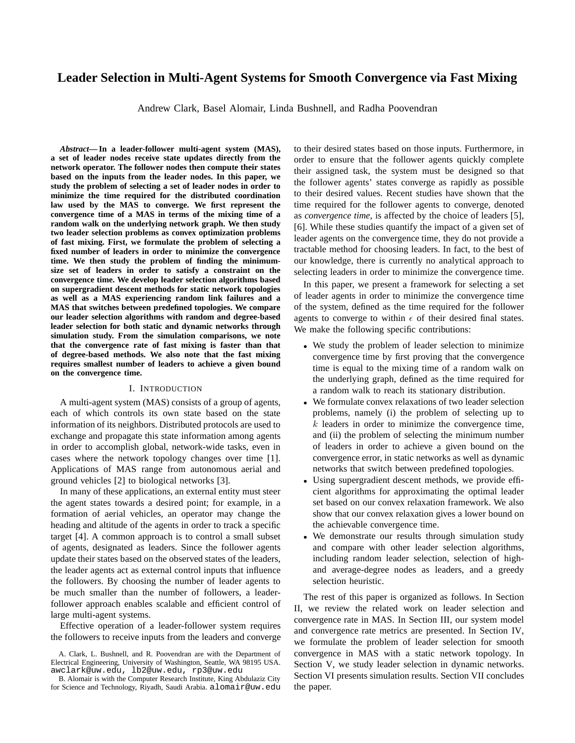# **Leader Selection in Multi-Agent Systems for Smooth Convergence via Fast Mixing**

Andrew Clark, Basel Alomair, Linda Bushnell, and Radha Poovendran

*Abstract***— In a leader-follower multi-agent system (MAS), a set of leader nodes receive state updates directly from the network operator. The follower nodes then compute their states based on the inputs from the leader nodes. In this paper, we study the problem of selecting a set of leader nodes in order to minimize the time required for the distributed coordination law used by the MAS to converge. We first represent the convergence time of a MAS in terms of the mixing time of a random walk on the underlying network graph. We then study two leader selection problems as convex optimization problems of fast mixing. First, we formulate the problem of selecting a fixed number of leaders in order to minimize the convergence time. We then study the problem of finding the minimumsize set of leaders in order to satisfy a constraint on the convergence time. We develop leader selection algorithms based on supergradient descent methods for static network topologies as well as a MAS experiencing random link failures and a MAS that switches between predefined topologies. We compare our leader selection algorithms with random and degree-based leader selection for both static and dynamic networks through simulation study. From the simulation comparisons, we note that the convergence rate of fast mixing is faster than that of degree-based methods. We also note that the fast mixing requires smallest number of leaders to achieve a given bound on the convergence time.**

## I. INTRODUCTION

A multi-agent system (MAS) consists of a group of agents, each of which controls its own state based on the state information of its neighbors. Distributed protocols are used to exchange and propagate this state information among agents in order to accomplish global, network-wide tasks, even in cases where the network topology changes over time [1]. Applications of MAS range from autonomous aerial and ground vehicles [2] to biological networks [3].

In many of these applications, an external entity must steer the agent states towards a desired point; for example, in a formation of aerial vehicles, an operator may change the heading and altitude of the agents in order to track a specific target [4]. A common approach is to control a small subset of agents, designated as leaders. Since the follower agents update their states based on the observed states of the leaders, the leader agents act as external control inputs that influence the followers. By choosing the number of leader agents to be much smaller than the number of followers, a leaderfollower approach enables scalable and efficient control of large multi-agent systems.

Effective operation of a leader-follower system requires the followers to receive inputs from the leaders and converge to their desired states based on those inputs. Furthermore, in order to ensure that the follower agents quickly complete their assigned task, the system must be designed so that the follower agents' states converge as rapidly as possible to their desired values. Recent studies have shown that the time required for the follower agents to converge, denoted as *convergence time*, is affected by the choice of leaders [5], [6]. While these studies quantify the impact of a given set of leader agents on the convergence time, they do not provide a tractable method for choosing leaders. In fact, to the best of our knowledge, there is currently no analytical approach to selecting leaders in order to minimize the convergence time.

In this paper, we present a framework for selecting a set of leader agents in order to minimize the convergence time of the system, defined as the time required for the follower agents to converge to within  $\epsilon$  of their desired final states. We make the following specific contributions:

- We study the problem of leader selection to minimize convergence time by first proving that the convergence time is equal to the mixing time of a random walk on the underlying graph, defined as the time required for a random walk to reach its stationary distribution.
- We formulate convex relaxations of two leader selection problems, namely (i) the problem of selecting up to  $k$  leaders in order to minimize the convergence time, and (ii) the problem of selecting the minimum number of leaders in order to achieve a given bound on the convergence error, in static networks as well as dynamic networks that switch between predefined topologies.
- Using supergradient descent methods, we provide efficient algorithms for approximating the optimal leader set based on our convex relaxation framework. We also show that our convex relaxation gives a lower bound on the achievable convergence time.
- We demonstrate our results through simulation study and compare with other leader selection algorithms, including random leader selection, selection of highand average-degree nodes as leaders, and a greedy selection heuristic.

The rest of this paper is organized as follows. In Section II, we review the related work on leader selection and convergence rate in MAS. In Section III, our system model and convergence rate metrics are presented. In Section IV, we formulate the problem of leader selection for smooth convergence in MAS with a static network topology. In Section V, we study leader selection in dynamic networks. Section VI presents simulation results. Section VII concludes the paper.

A. Clark, L. Bushnell, and R. Poovendran are with the Department of Electrical Engineering, University of Washington, Seattle, WA 98195 USA. awclark@uw.edu, lb2@uw.edu, rp3@uw.edu

B. Alomair is with the Computer Research Institute, King Abdulaziz City for Science and Technology, Riyadh, Saudi Arabia. alomair@uw.edu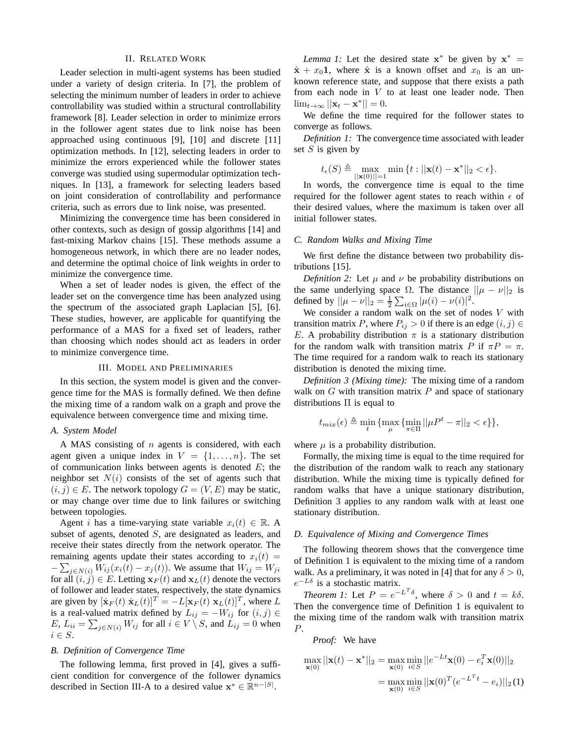## II. RELATED WORK

Leader selection in multi-agent systems has been studied under a variety of design criteria. In [7], the problem of selecting the minimum number of leaders in order to achieve controllability was studied within a structural controllability framework [8]. Leader selection in order to minimize errors in the follower agent states due to link noise has been approached using continuous [9], [10] and discrete [11] optimization methods. In [12], selecting leaders in order to minimize the errors experienced while the follower states converge was studied using supermodular optimization techniques. In [13], a framework for selecting leaders based on joint consideration of controllability and performance criteria, such as errors due to link noise, was presented.

Minimizing the convergence time has been considered in other contexts, such as design of gossip algorithms [14] and fast-mixing Markov chains [15]. These methods assume a homogeneous network, in which there are no leader nodes, and determine the optimal choice of link weights in order to minimize the convergence time.

When a set of leader nodes is given, the effect of the leader set on the convergence time has been analyzed using the spectrum of the associated graph Laplacian [5], [6]. These studies, however, are applicable for quantifying the performance of a MAS for a fixed set of leaders, rather than choosing which nodes should act as leaders in order to minimize convergence time.

## III. MODEL AND PRELIMINARIES

In this section, the system model is given and the convergence time for the MAS is formally defined. We then define the mixing time of a random walk on a graph and prove the equivalence between convergence time and mixing time.

#### *A. System Model*

A MAS consisting of  $n$  agents is considered, with each agent given a unique index in  $V = \{1, \ldots, n\}$ . The set of communication links between agents is denoted  $E$ ; the neighbor set  $N(i)$  consists of the set of agents such that  $(i, j) \in E$ . The network topology  $G = (V, E)$  may be static, or may change over time due to link failures or switching between topologies.

Agent *i* has a time-varying state variable  $x_i(t) \in \mathbb{R}$ . A subset of agents, denoted S, are designated as leaders, and receive their states directly from the network operator. The remaining agents update their states according to  $x_i(t)$  =  $-\sum_{j \in N(i)} W_{ij}(x_i(t) - x_j(t))$ . We assume that  $W_{ij} = W_{ji}$ for all  $(i, j) \in E$ . Letting  $\mathbf{x}_F(t)$  and  $\mathbf{x}_L(t)$  denote the vectors of follower and leader states, respectively, the state dynamics are given by  $[\dot{\mathbf{x}}_F(t) \dot{\mathbf{x}}_L(t)]^T = -L[\mathbf{x}_F(t) \mathbf{x}_L(t)]^T$ , where L is a real-valued matrix defined by  $L_{ij} = -W_{ij}$  for  $(i, j) \in$  $E, L_{ii} = \sum_{j \in N(i)} W_{ij}$  for all  $i \in V \setminus S$ , and  $L_{ij} = 0$  when  $i \in S$ .

# *B. Definition of Convergence Time*

The following lemma, first proved in [4], gives a sufficient condition for convergence of the follower dynamics described in Section III-A to a desired value  $\mathbf{x}^* \in \mathbb{R}^{n-|S|}$ .

*Lemma 1:* Let the desired state  $x^*$  be given by  $x^* =$  $\hat{\mathbf{x}} + x_0 \mathbf{1}$ , where  $\hat{\mathbf{x}}$  is a known offset and  $x_0$  is an unknown reference state, and suppose that there exists a path from each node in V to at least one leader node. Then  $\lim_{t\to\infty} ||\mathbf{x}_t - \mathbf{x}^*|| = 0.$ 

We define the time required for the follower states to converge as follows.

*Definition 1:* The convergence time associated with leader set  $S$  is given by

$$
t_{\epsilon}(S) \triangleq \max_{\vert\vert \mathbf{x}(0) \vert\vert=1} \min \left\{ t : \vert\vert \mathbf{x}(t) - \mathbf{x}^* \vert\vert_2 < \epsilon \right\}.
$$

In words, the convergence time is equal to the time required for the follower agent states to reach within  $\epsilon$  of their desired values, where the maximum is taken over all initial follower states.

#### *C. Random Walks and Mixing Time*

We first define the distance between two probability distributions [15].

*Definition 2:* Let  $\mu$  and  $\nu$  be probability distributions on the same underlying space  $\Omega$ . The distance  $||\mu - \nu||_2$  is defined by  $||\mu - \nu||_2 = \frac{1}{2} \sum_{i \in \Omega} |\mu(i) - \nu(i)|^2$ .

We consider a random walk on the set of nodes  $V$  with transition matrix P, where  $P_{ij} > 0$  if there is an edge  $(i, j) \in$ E. A probability distribution  $\pi$  is a stationary distribution for the random walk with transition matrix P if  $\pi P = \pi$ . The time required for a random walk to reach its stationary distribution is denoted the mixing time.

*Definition 3 (Mixing time):* The mixing time of a random walk on  $G$  with transition matrix  $P$  and space of stationary distributions  $\Pi$  is equal to

$$
t_{mix}(\epsilon) \triangleq \min_{t} \{ \max_{\mu} \{ \min_{\pi \in \Pi} ||\mu P^t - \pi||_2 < \epsilon \} \},\
$$

where  $\mu$  is a probability distribution.

Formally, the mixing time is equal to the time required for the distribution of the random walk to reach any stationary distribution. While the mixing time is typically defined for random walks that have a unique stationary distribution, Definition 3 applies to any random walk with at least one stationary distribution.

#### *D. Equivalence of Mixing and Convergence Times*

The following theorem shows that the convergence time of Definition 1 is equivalent to the mixing time of a random walk. As a preliminary, it was noted in [4] that for any  $\delta > 0$ ,  $e^{-L\delta}$  is a stochastic matrix.

*Theorem 1:* Let  $P = e^{-L^T \delta}$ , where  $\delta > 0$  and  $t = k\delta$ . Then the convergence time of Definition 1 is equivalent to the mixing time of the random walk with transition matrix P.

*Proof:* We have

$$
\max_{\mathbf{x}(0)} ||\mathbf{x}(t) - \mathbf{x}^*||_2 = \max_{\mathbf{x}(0)} \min_{i \in S} ||e^{-Lt}\mathbf{x}(0) - e_i^T \mathbf{x}(0)||_2
$$

$$
= \max_{\mathbf{x}(0)} \min_{i \in S} ||\mathbf{x}(0)^T (e^{-L^T t} - e_i)||_2(1)
$$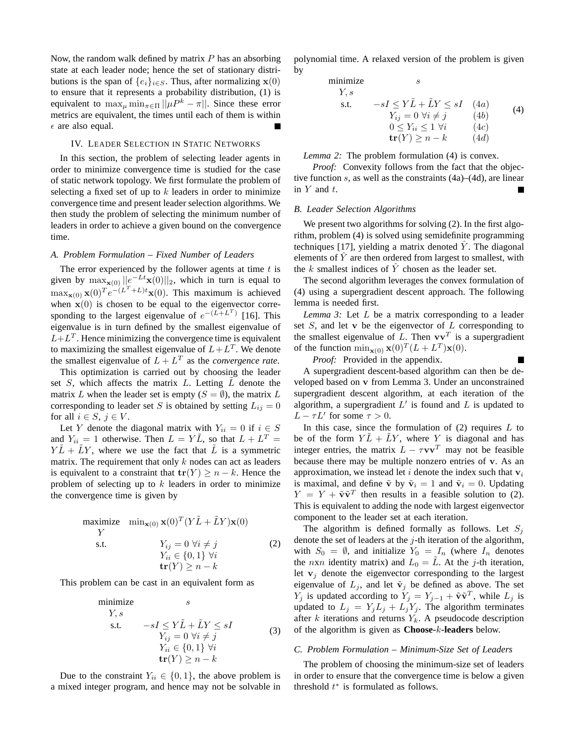Now, the random walk defined by matrix  $P$  has an absorbing state at each leader node; hence the set of stationary distributions is the span of  $\{e_i\}_{i\in S}$ . Thus, after normalizing  $\mathbf{x}(0)$ to ensure that it represents a probability distribution, (1) is equivalent to  $\max_{\mu} \min_{\pi \in \Pi} ||\mu P^k - \pi||$ . Since these error metrics are equivalent, the times until each of them is within  $\epsilon$  are also equal.

# IV. LEADER SELECTION IN STATIC NETWORKS

In this section, the problem of selecting leader agents in order to minimize convergence time is studied for the case of static network topology. We first formulate the problem of selecting a fixed set of up to  $k$  leaders in order to minimize convergence time and present leader selection algorithms. We then study the problem of selecting the minimum number of leaders in order to achieve a given bound on the convergence time.

## *A. Problem Formulation – Fixed Number of Leaders*

The error experienced by the follower agents at time  $t$  is given by  $\max_{\mathbf{x}(0)} ||e^{-Lt}\mathbf{x}(0)||_2$ , which in turn is equal to  $\max_{\mathbf{x}(0)} \mathbf{x}(0)^T e^{-(L^T + L)t} \mathbf{x}(0)$ . This maximum is achieved when  $\mathbf{x}(0)$  is chosen to be equal to the eigenvector corresponding to the largest eigenvalue of  $e^{-(L+L^T)}$  [16]. This eigenvalue is in turn defined by the smallest eigenvalue of  $L + L<sup>T</sup>$ . Hence minimizing the convergence time is equivalent to maximizing the smallest eigenvalue of  $L + L<sup>T</sup>$ . We denote the smallest eigenvalue of  $L + L<sup>T</sup>$  as the *convergence rate*.

This optimization is carried out by choosing the leader set  $S$ , which affects the matrix  $L$ . Letting  $L$  denote the matrix L when the leader set is empty  $(S = \emptyset)$ , the matrix L corresponding to leader set S is obtained by setting  $L_{ij} = 0$ for all  $i \in S$ ,  $j \in V$ .

Let Y denote the diagonal matrix with  $Y_{ii} = 0$  if  $i \in S$ and  $Y_{ii} = 1$  otherwise. Then  $L = Y\tilde{L}$ , so that  $L + L^T =$  $Y\ddot{L} + \ddot{L}Y$ , where we use the fact that  $\ddot{L}$  is a symmetric matrix. The requirement that only  $k$  nodes can act as leaders is equivalent to a constraint that  $tr(Y) \geq n - k$ . Hence the problem of selecting up to  $k$  leaders in order to minimize the convergence time is given by

maximize 
$$
\min_{\mathbf{x}(0)} \mathbf{x}(0)^T (Y\tilde{L} + \tilde{L}Y)\mathbf{x}(0)
$$
  
\nY  
\ns.t.  $Y_{ij} = 0 \ \forall i \neq j$   
\n $Y_{ii} \in \{0, 1\} \ \forall i$   
\n $\mathbf{tr}(Y) \geq n - k$  (2)

This problem can be cast in an equivalent form as

minimize 
$$
s
$$
  
\n $Y, s$   
\ns.t.  $-sI \le Y\tilde{L} + \tilde{L}Y \le sI$   
\n $Y_{ij} = 0 \ \forall i \ne j$   
\n $Y_{ii} \in \{0, 1\} \ \forall i$   
\n $\operatorname{tr}(Y) \ge n - k$  (3)

Due to the constraint  $Y_{ii} \in \{0, 1\}$ , the above problem is a mixed integer program, and hence may not be solvable in polynomial time. A relaxed version of the problem is given by

minimize 
$$
s
$$
  
\nY,  $s$   
\ns.t.  $-sI \le Y\tilde{L} + \tilde{L}Y \le sI$  (4a)  
\n $Y_{ij} = 0 \ \forall i \ne j$  (4b)  
\n $0 \le Y_{ii} \le 1 \ \forall i$  (4c)  
\n $\operatorname{tr}(Y) \ge n - k$  (4d)

## *Lemma 2:* The problem formulation (4) is convex.

*Proof:* Convexity follows from the fact that the objective function s, as well as the constraints (4a)–(4d), are linear in  $Y$  and  $t$ .

#### *B. Leader Selection Algorithms*

We present two algorithms for solving (2). In the first algorithm, problem (4) is solved using semidefinite programming techniques [17], yielding a matrix denoted  $\hat{Y}$ . The diagonal elements of  $\hat{Y}$  are then ordered from largest to smallest, with the k smallest indices of  $\overline{Y}$  chosen as the leader set.

The second algorithm leverages the convex formulation of (4) using a supergradient descent approach. The following lemma is needed first.

*Lemma 3:* Let L be a matrix corresponding to a leader set  $S$ , and let  $\bf{v}$  be the eigenvector of  $L$  corresponding to the smallest eigenvalue of L. Then  $vv<sup>T</sup>$  is a supergradient of the function  $\min_{\mathbf{x}(0)} \mathbf{x}(0)^T (L + L^T) \mathbf{x}(0)$ .

 $\blacksquare$ 

*Proof:* Provided in the appendix.

A supergradient descent-based algorithm can then be developed based on v from Lemma 3. Under an unconstrained supergradient descent algorithm, at each iteration of the algorithm, a supergradient  $L'$  is found and  $L$  is updated to  $L - \tau L'$  for some  $\tau > 0$ .

In this case, since the formulation of  $(2)$  requires  $L$  to be of the form  $Y\tilde{L} + \tilde{L}Y$ , where Y is diagonal and has integer entries, the matrix  $L - \tau v v^T$  may not be feasible because there may be multiple nonzero entries of v. As an approximation, we instead let i denote the index such that  $v_i$ is maximal, and define  $\tilde{\mathbf{v}}$  by  $\tilde{\mathbf{v}}_i = 1$  and  $\tilde{\mathbf{v}}_i = 0$ . Updating  $Y = Y + \tilde{v}\tilde{v}^T$  then results in a feasible solution to (2). This is equivalent to adding the node with largest eigenvector component to the leader set at each iteration.

The algorithm is defined formally as follows. Let  $S_i$ denote the set of leaders at the  $j$ -th iteration of the algorithm, with  $S_0 = \emptyset$ , and initialize  $Y_0 = I_n$  (where  $I_n$  denotes the *nxn* identity matrix) and  $L_0 = \overline{L}$ . At the *j*-th iteration, let  $v_i$  denote the eigenvector corresponding to the largest eigenvalue of  $L_j$ , and let  $\tilde{\mathbf{v}}_j$  be defined as above. The set  $Y_j$  is updated according to  $Y_j = Y_{j-1} + \tilde{v}\tilde{v}^T$ , while  $L_j$  is updated to  $L_j = Y_j L_j + L_j Y_j$ . The algorithm terminates after k iterations and returns  $Y_k$ . A pseudocode description of the algorithm is given as **Choose-**k**-leaders** below.

## *C. Problem Formulation – Minimum-Size Set of Leaders*

The problem of choosing the minimum-size set of leaders in order to ensure that the convergence time is below a given threshold  $t^*$  is formulated as follows.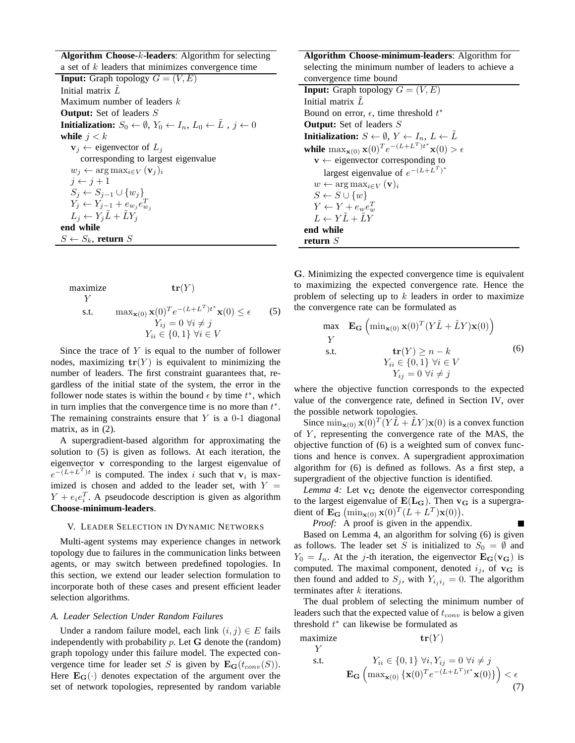**Algorithm Choose-**k**-leaders**: Algorithm for selecting a set of  $k$  leaders that minimizes convergence time **Input:** Graph topology  $G = (V, E)$ Initial matrix  $L$ Maximum number of leaders  $k$ **Output:** Set of leaders S **Initialization:**  $S_0 \leftarrow \emptyset$ ,  $Y_0 \leftarrow I_n$ ,  $L_0 \leftarrow \tilde{L}$ ,  $j \leftarrow 0$ **while**  $j < k$  $\mathbf{v}_j \leftarrow$  eigenvector of  $L_j$ corresponding to largest eigenvalue  $w_j \leftarrow \arg \max_{i \in V} (\mathbf{v}_j)_i$  $j \leftarrow j + 1$  $S_j \leftarrow S_{j-1} \cup \{w_j\}$  $Y_j \leftarrow Y_{j-1} + e_{w_j}e_{w_j}^T$  $L_j \leftarrow Y_j \tilde{L} + \tilde{L} Y_j$ **end while**  $S \leftarrow S_k$ , **return** S

maximize 
$$
\mathbf{tr}(Y)
$$
  
\nY  
\ns.t.  $\max_{\mathbf{x}(0)} \mathbf{x}(0)^T e^{-(L+L^T)t^*} \mathbf{x}(0) \le \epsilon$  (5)  
\n $Y_{ij} = 0 \ \forall i \ne j$   
\n $Y_{ii} \in \{0, 1\} \ \forall i \in V$ 

Since the trace of  $Y$  is equal to the number of follower nodes, maximizing  $tr(Y)$  is equivalent to minimizing the number of leaders. The first constraint guarantees that, regardless of the initial state of the system, the error in the follower node states is within the bound  $\epsilon$  by time  $t^*$ , which in turn implies that the convergence time is no more than  $t^*$ . The remaining constraints ensure that  $Y$  is a 0-1 diagonal matrix, as in  $(2)$ .

A supergradient-based algorithm for approximating the solution to (5) is given as follows. At each iteration, the eigenvector v corresponding to the largest eigenvalue of  $e^{-(L+L^T)t}$  is computed. The index i such that  $v_i$  is maximized is chosen and added to the leader set, with  $Y =$  $Y + e_i e_i^T$ . A pseudocode description is given as algorithm **Choose-minimum-leaders**.

## V. LEADER SELECTION IN DYNAMIC NETWORKS

Multi-agent systems may experience changes in network topology due to failures in the communication links between agents, or may switch between predefined topologies. In this section, we extend our leader selection formulation to incorporate both of these cases and present efficient leader selection algorithms.

## *A. Leader Selection Under Random Failures*

Under a random failure model, each link  $(i, j) \in E$  fails independently with probability  $p$ . Let  $G$  denote the (random) graph topology under this failure model. The expected convergence time for leader set S is given by  $\mathbf{E}_{\mathbf{G}}(t_{conv}(S)).$ Here  $\mathbf{E}_{\mathbf{G}}(\cdot)$  denotes expectation of the argument over the set of network topologies, represented by random variable

**Algorithm Choose-minimum-leaders**: Algorithm for selecting the minimum number of leaders to achieve a convergence time bound **Input:** Graph topology  $G = (V, E)$ Initial matrix  $L^2$ Bound on error,  $\epsilon$ , time threshold  $t^*$ **Output:** Set of leaders S **Initialization:**  $S \leftarrow \emptyset$ ,  $Y \leftarrow I_n$ ,  $L \leftarrow L$ **while**  $\max_{\mathbf{x}(0)} \mathbf{x}(0)^T e^{-(L+L^T)t^*} \mathbf{x}(0) > \epsilon$  $v \leftarrow$  eigenvector corresponding to largest eigenvalue of  $e^{-(L+L^T)^*}$  $w \leftarrow \arg \max_{i \in V} (\mathbf{v})_i$  $S \leftarrow S \cup \{w\}$  $Y \leftarrow Y + e_w e_w^T$  $L \leftarrow Y\tilde{L} + \tilde{L}Y$ **end while return** S

G. Minimizing the expected convergence time is equivalent to maximizing the expected convergence rate. Hence the problem of selecting up to  $k$  leaders in order to maximize the convergence rate can be formulated as

max 
$$
\mathbf{E_G}
$$
  $(\min_{\mathbf{x}(0)} \mathbf{x}(0)^T (Y\tilde{L} + \tilde{L}Y)\mathbf{x}(0))$   
\nY  
\ns.t.  $\mathbf{tr}(Y) \ge n - k$   
\n $Y_{ii} \in \{0, 1\} \forall i \in V$   
\n $Y_{ij} = 0 \forall i \ne j$  (6)

where the objective function corresponds to the expected value of the convergence rate, defined in Section IV, over the possible network topologies.

Since  $\min_{\mathbf{x}(0)} \mathbf{x}(0)^T (Y \tilde{L} + \tilde{L}Y)\mathbf{x}(0)$  is a convex function of  $Y$ , representing the convergence rate of the MAS, the objective function of (6) is a weighted sum of convex functions and hence is convex. A supergradient approximation algorithm for (6) is defined as follows. As a first step, a supergradient of the objective function is identified.

*Lemma 4:* Let  $v_G$  denote the eigenvector corresponding to the largest eigenvalue of  $E(L_G)$ . Then  $v_G$  is a supergradient of  $\mathbf{E_G}$   $(\min_{\mathbf{x}(0)} \mathbf{x}(0)^T (L + L^T) \mathbf{x}(0)).$ 

П

*Proof:* A proof is given in the appendix.

Based on Lemma 4, an algorithm for solving (6) is given as follows. The leader set S is initialized to  $S_0 = \emptyset$  and  $Y_0 = I_n$ . At the j-th iteration, the eigenvector  $\mathbf{E_G}(v_G)$  is computed. The maximal component, denoted  $i_j$ , of  $\mathbf{v}_\mathbf{G}$  is then found and added to  $S_j$ , with  $Y_{i_1 i_2} = 0$ . The algorithm terminates after  $k$  iterations.

The dual problem of selecting the minimum number of leaders such that the expected value of  $t_{conv}$  is below a given threshold  $t^*$  can likewise be formulated as

maximize  $tr(Y)$ Y

$$
\mathbf{F}_{\mathbf{G}}\left(\max_{\mathbf{x}(0)}\{\mathbf{x}(0)^{T}e^{-(L+L^{T})t^{*}}\mathbf{x}(0)\}\right) < \epsilon
$$
\n
$$
\mathbf{E}_{\mathbf{G}}\left(\max_{\mathbf{x}(0)}\{\mathbf{x}(0)^{T}e^{-(L+L^{T})t^{*}}\mathbf{x}(0)\}\right) < \epsilon
$$
\n
$$
(7)
$$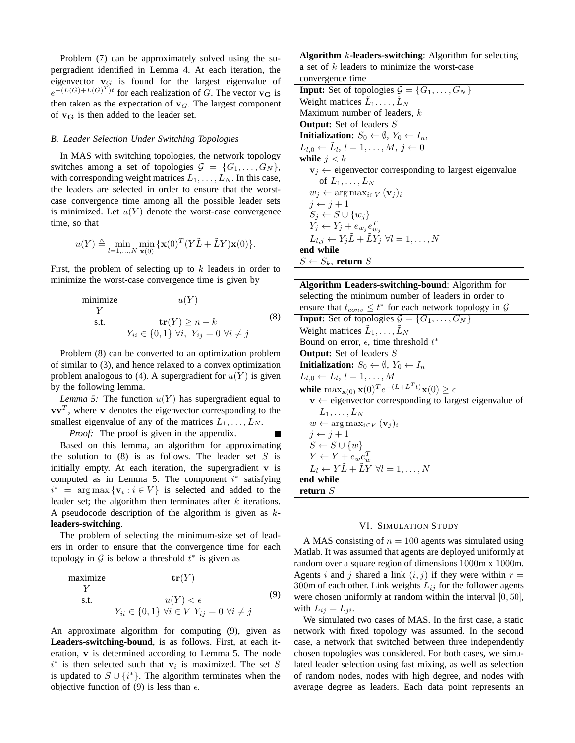Problem (7) can be approximately solved using the supergradient identified in Lemma 4. At each iteration, the eigenvector  $\mathbf{v}_G$  is found for the largest eigenvalue of  $e^{-(L(G)+L(G)^{T})t}$  for each realization of G. The vector  $\mathbf{v}_{\mathbf{G}}$  is then taken as the expectation of  $\mathbf{v}_G$ . The largest component of  $v_G$  is then added to the leader set.

# *B. Leader Selection Under Switching Topologies*

In MAS with switching topologies, the network topology switches among a set of topologies  $\mathcal{G} = \{G_1, \ldots, G_N\},\$ with corresponding weight matrices  $L_1, \ldots, L_N$ . In this case, the leaders are selected in order to ensure that the worstcase convergence time among all the possible leader sets is minimized. Let  $u(Y)$  denote the worst-case convergence time, so that

$$
u(Y) \triangleq \min_{l=1,\dots,N} \min_{\mathbf{x}(0)} \{ \mathbf{x}(0)^T (Y\tilde{L} + \tilde{L}Y)\mathbf{x}(0) \}.
$$

First, the problem of selecting up to  $k$  leaders in order to minimize the worst-case convergence time is given by

minimize 
$$
u(Y)
$$
  
\nY  
\ns.t.  $\mathbf{tr}(Y) \ge n - k$  (8)  
\n $Y_{ii} \in \{0, 1\} \forall i, Y_{ij} = 0 \forall i \ne j$ 

Problem (8) can be converted to an optimization problem of similar to (3), and hence relaxed to a convex optimization problem analogous to (4). A supergradient for  $u(Y)$  is given by the following lemma.

*Lemma 5:* The function  $u(Y)$  has supergradient equal to  $v\mathbf{v}^{T}$ , where v denotes the eigenvector corresponding to the smallest eigenvalue of any of the matrices  $L_1, \ldots, L_N$ .

*Proof:* The proof is given in the appendix.

Based on this lemma, an algorithm for approximating the solution to  $(8)$  is as follows. The leader set S is initially empty. At each iteration, the supergradient  $\bf{v}$  is computed as in Lemma 5. The component  $i^*$  satisfying  $i^*$  = arg max  $\{v_i : i \in V\}$  is selected and added to the leader set; the algorithm then terminates after  $k$  iterations. A pseudocode description of the algorithm is given as k**leaders-switching**.

The problem of selecting the minimum-size set of leaders in order to ensure that the convergence time for each topology in  $G$  is below a threshold  $t^*$  is given as

maximize 
$$
\mathbf{tr}(Y)
$$
  
\nY  
\ns.t.  $u(Y) < \epsilon$   
\n $Y_{ii} \in \{0, 1\} \forall i \in V \ Y_{ij} = 0 \ \forall i \neq j$  (9)

An approximate algorithm for computing (9), given as **Leaders-switching-bound**, is as follows. First, at each iteration, v is determined according to Lemma 5. The node  $i^*$  is then selected such that  $v_i$  is maximized. The set S is updated to  $S \cup \{i^*\}$ . The algorithm terminates when the objective function of (9) is less than  $\epsilon$ .

**Algorithm** k**-leaders-switching**: Algorithm for selecting a set of  $k$  leaders to minimize the worst-case convergence time

**Input:** Set of topologies  $\mathcal{G} = \{G_1, \ldots, G_N\}$ Weight matrices  $\tilde{L}_1, \ldots, \tilde{L}_N$ Maximum number of leaders, k **Output:** Set of leaders S **Initialization:**  $S_0 \leftarrow \emptyset$ ,  $Y_0 \leftarrow I_n$ ,  $L_{l,0} \leftarrow \tilde{L}_l, l = 1, \ldots, M, j \leftarrow 0$ **while**  $j < k$  $v_j \leftarrow$  eigenvector corresponding to largest eigenvalue of  $L_1, \ldots, L_N$  $w_i \leftarrow \arg \max_{i \in V} (\mathbf{v}_i)_i$  $j \leftarrow j + 1$  $S_j \leftarrow S \cup \{w_j\}$  $Y_j \leftarrow Y_j + e_{w_j}e_{w_j}^T$  $L_{l,j} \leftarrow Y_j \tilde{L} + \tilde{L} Y_j^{'} \hspace{2mm} \forall l = 1, \ldots, N$ **end while**  $S \leftarrow S_k$ , **return** S

| <b>Algorithm Leaders-switching-bound:</b> Algorithm for                                |
|----------------------------------------------------------------------------------------|
| selecting the minimum number of leaders in order to                                    |
| ensure that $t_{conv} \leq t^*$ for each network topology in G                         |
| <b>Input:</b> Set of topologies $\mathcal{G} = \{G_1, \ldots, G_N\}$                   |
| Weight matrices $L_1, \ldots, L_N$                                                     |
| Bound on error, $\epsilon$ , time threshold $t^*$                                      |
| <b>Output:</b> Set of leaders S                                                        |
| <b>Initialization:</b> $S_0 \leftarrow \emptyset$ , $Y_0 \leftarrow I_n$               |
| $L_{l,0} \leftarrow L_l, l = 1,\ldots,M$                                               |
| while $\max_{\mathbf{x}(0)} \mathbf{x}(0)^T e^{-(L+L^Tt)} \mathbf{x}(0) \geq \epsilon$ |
| $\mathbf{v} \leftarrow$ eigenvector corresponding to largest eigenvalue of             |
| $L_1, \ldots, L_N$                                                                     |
| $w \leftarrow \arg \max_{i \in V} (\mathbf{v}_i)_i$                                    |
| $j \leftarrow j+1$                                                                     |
| $S \leftarrow S \cup \{w\}$                                                            |
| $Y \leftarrow Y + e_w e_w^T$                                                           |
| $L_l \leftarrow Y\tilde{L} + \tilde{L}Y \ \forall l = 1, \ldots, N$                    |
| end while                                                                              |
| return $S$                                                                             |
|                                                                                        |

## VI. SIMULATION STUDY

A MAS consisting of  $n = 100$  agents was simulated using Matlab. It was assumed that agents are deployed uniformly at random over a square region of dimensions 1000m x 1000m. Agents i and j shared a link  $(i, j)$  if they were within  $r =$ 300m of each other. Link weights  $L_{ij}$  for the follower agents were chosen uniformly at random within the interval [0, 50], with  $L_{ij} = L_{ji}$ .

We simulated two cases of MAS. In the first case, a static network with fixed topology was assumed. In the second case, a network that switched between three independently chosen topologies was considered. For both cases, we simulated leader selection using fast mixing, as well as selection of random nodes, nodes with high degree, and nodes with average degree as leaders. Each data point represents an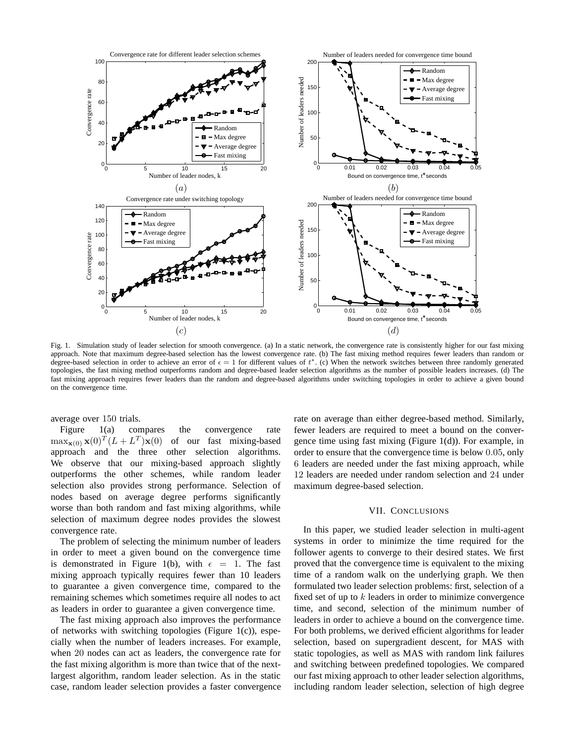

Fig. 1. Simulation study of leader selection for smooth convergence. (a) In a static network, the convergence rate is consistently higher for our fast mixing approach. Note that maximum degree-based selection has the lowest convergence rate. (b) The fast mixing method requires fewer leaders than random or degree-based selection in order to achieve an error of  $\epsilon = 1$  for different values of  $t^*$ . (c) When the network switches between three randomly generated topologies, the fast mixing method outperforms random and degree-based leader selection algorithms as the number of possible leaders increases. (d) The fast mixing approach requires fewer leaders than the random and degree-based algorithms under switching topologies in order to achieve a given bound on the convergence time.

average over 150 trials.

Figure 1(a) compares the convergence rate  $\max_{\mathbf{x}(0)} \mathbf{x}(0)^T (L + L^T) \mathbf{x}(0)$  of our fast mixing-based approach and the three other selection algorithms. We observe that our mixing-based approach slightly outperforms the other schemes, while random leader selection also provides strong performance. Selection of nodes based on average degree performs significantly worse than both random and fast mixing algorithms, while selection of maximum degree nodes provides the slowest convergence rate.

The problem of selecting the minimum number of leaders in order to meet a given bound on the convergence time is demonstrated in Figure 1(b), with  $\epsilon = 1$ . The fast mixing approach typically requires fewer than 10 leaders to guarantee a given convergence time, compared to the remaining schemes which sometimes require all nodes to act as leaders in order to guarantee a given convergence time.

The fast mixing approach also improves the performance of networks with switching topologies (Figure 1(c)), especially when the number of leaders increases. For example, when 20 nodes can act as leaders, the convergence rate for the fast mixing algorithm is more than twice that of the nextlargest algorithm, random leader selection. As in the static case, random leader selection provides a faster convergence rate on average than either degree-based method. Similarly, fewer leaders are required to meet a bound on the convergence time using fast mixing (Figure 1(d)). For example, in order to ensure that the convergence time is below 0.05, only 6 leaders are needed under the fast mixing approach, while 12 leaders are needed under random selection and 24 under maximum degree-based selection.

## VII. CONCLUSIONS

In this paper, we studied leader selection in multi-agent systems in order to minimize the time required for the follower agents to converge to their desired states. We first proved that the convergence time is equivalent to the mixing time of a random walk on the underlying graph. We then formulated two leader selection problems: first, selection of a fixed set of up to  $k$  leaders in order to minimize convergence time, and second, selection of the minimum number of leaders in order to achieve a bound on the convergence time. For both problems, we derived efficient algorithms for leader selection, based on supergradient descent, for MAS with static topologies, as well as MAS with random link failures and switching between predefined topologies. We compared our fast mixing approach to other leader selection algorithms, including random leader selection, selection of high degree